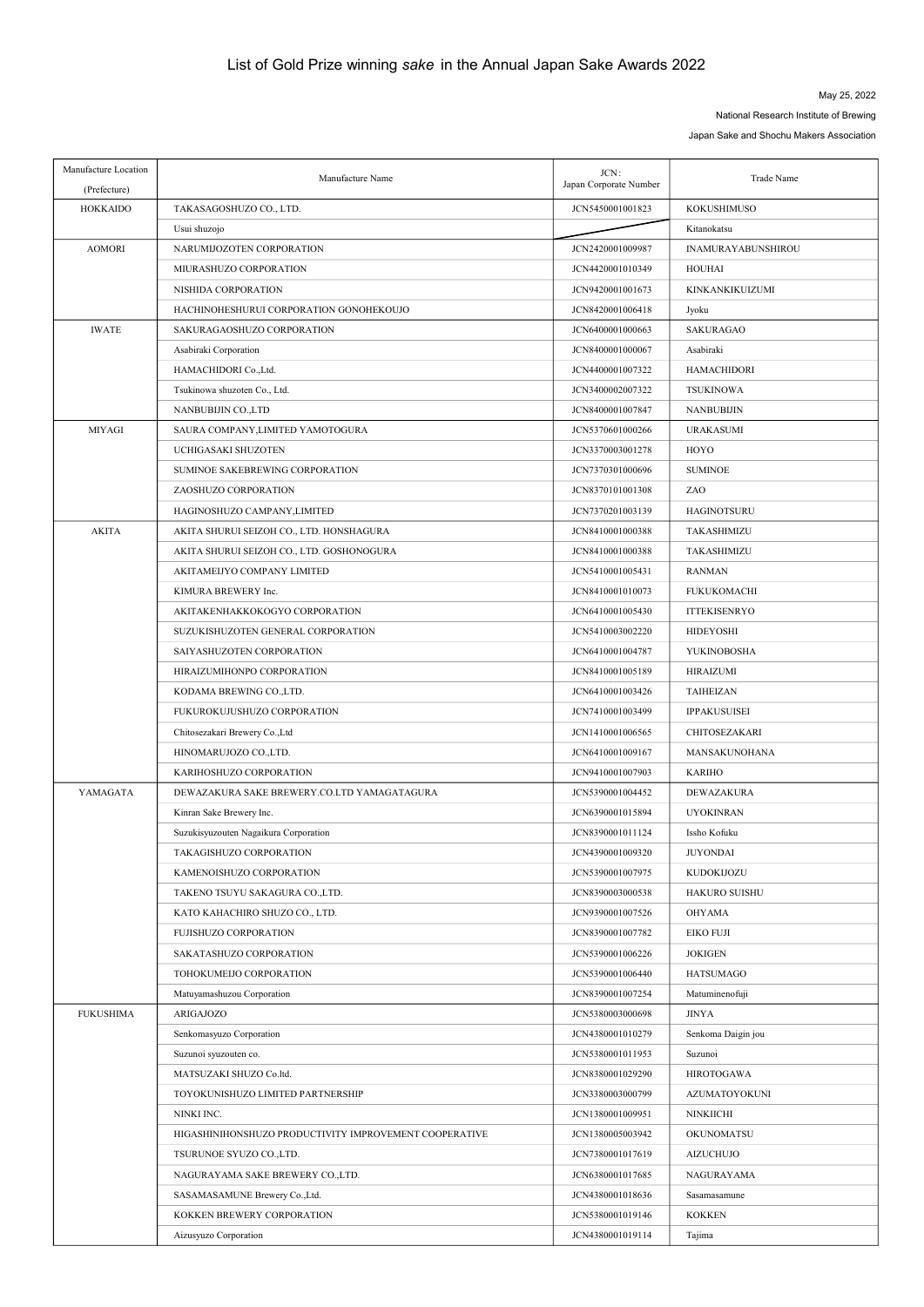## May 25, 2022

National Research Institute of Brewing

Japan Sake and Shochu Makers Association

| Manufacture Location<br>(Prefecture) | Manufacture Name                                       | JCN:<br>Japan Corporate Number | Trade Name                |
|--------------------------------------|--------------------------------------------------------|--------------------------------|---------------------------|
| <b>HOKKAIDO</b>                      | TAKASAGOSHUZO CO., LTD.                                | JCN5450001001823               | KOKUSHIMUSO               |
|                                      | Usui shuzojo                                           |                                | Kitanokatsu               |
| <b>AOMORI</b>                        | NARUMIJOZOTEN CORPORATION                              | JCN2420001009987               | <b>INAMURAYABUNSHIROU</b> |
|                                      | MIURASHUZO CORPORATION                                 | JCN4420001010349               | HOUHAI                    |
|                                      | NISHIDA CORPORATION                                    | JCN9420001001673               | KINKANKIKUIZUMI           |
|                                      | HACHINOHESHURUI CORPORATION GONOHEKOUJO                | JCN8420001006418               | Jyoku                     |
| <b>IWATE</b>                         | SAKURAGAOSHUZO CORPORATION                             | JCN6400001000663               | SAKURAGAO                 |
|                                      | Asabiraki Corporation                                  | JCN8400001000067               | Asabiraki                 |
|                                      | HAMACHIDORI Co., Ltd.                                  | JCN4400001007322               | <b>HAMACHIDORI</b>        |
|                                      | Tsukinowa shuzoten Co., Ltd.                           | JCN3400002007322               | <b>TSUKINOWA</b>          |
|                                      | NANBUBIJIN CO.,LTD                                     | JCN8400001007847               | <b>NANBUBIJIN</b>         |
| <b>MIYAGI</b>                        | SAURA COMPANY, LIMITED YAMOTOGURA                      | JCN5370601000266               | <b>URAKASUMI</b>          |
|                                      | UCHIGASAKI SHUZOTEN                                    | JCN3370003001278               | HOYO                      |
|                                      | SUMINOE SAKEBREWING CORPORATION                        | JCN7370301000696               | <b>SUMINOE</b>            |
|                                      | ZAOSHUZO CORPORATION                                   | JCN8370101001308               | ZAO                       |
|                                      | HAGINOSHUZO CAMPANY, LIMITED                           | JCN7370201003139               | <b>HAGINOTSURU</b>        |
| <b>AKITA</b>                         | AKITA SHURUI SEIZOH CO., LTD. HONSHAGURA               | JCN8410001000388               | TAKASHIMIZU               |
|                                      | AKITA SHURUI SEIZOH CO., LTD. GOSHONOGURA              | JCN8410001000388               | TAKASHIMIZU               |
|                                      | AKITAMEIJYO COMPANY LIMITED                            | JCN5410001005431               | <b>RANMAN</b>             |
|                                      | KIMURA BREWERY Inc.                                    | JCN8410001010073               | <b>FUKUKOMACHI</b>        |
|                                      | AKITAKENHAKKOKOGYO CORPORATION                         | JCN6410001005430               | <b>ITTEKISENRYO</b>       |
|                                      | SUZUKISHUZOTEN GENERAL CORPORATION                     | JCN5410003002220               | <b>HIDEYOSHI</b>          |
|                                      | SAIYASHUZOTEN CORPORATION                              | JCN6410001004787               | YUKINOBOSHA               |
|                                      | HIRAIZUMIHONPO CORPORATION                             | JCN8410001005189               | HIRAIZUMI                 |
|                                      | KODAMA BREWING CO.,LTD.                                | JCN6410001003426               | TAIHEIZAN                 |
|                                      | FUKUROKUJUSHUZO CORPORATION                            | JCN7410001003499               | <b>IPPAKUSUISEI</b>       |
|                                      | Chitosezakari Brewery Co., Ltd                         | JCN1410001006565               | CHITOSEZAKARI             |
|                                      | HINOMARUJOZO CO.,LTD.                                  | JCN6410001009167               | MANSAKUNOHANA             |
|                                      | KARIHOSHUZO CORPORATION                                | JCN9410001007903               | <b>KARIHO</b>             |
| YAMAGATA                             | DEWAZAKURA SAKE BREWERY.CO.LTD YAMAGATAGURA            | JCN5390001004452               | DEWAZAKURA                |
|                                      | Kinran Sake Brewery Inc.                               | JCN6390001015894               | <b>UYOKINRAN</b>          |
|                                      | Suzukisyuzouten Nagaikura Corporation                  | JCN8390001011124               | Issho Kofuku              |
|                                      | TAKAGISHUZO CORPORATION                                | JCN4390001009320               | <b>JUYONDAI</b>           |
|                                      | KAMENOISHUZO CORPORATION                               | JCN5390001007975               | KUDOKIJOZU                |
|                                      | TAKENO TSUYU SAKAGURA CO.,LTD.                         | JCN8390003000538               | HAKURO SUISHU             |
|                                      | KATO KAHACHIRO SHUZO CO., LTD.                         | JCN9390001007526               | <b>OHYAMA</b>             |
|                                      | FUJISHUZO CORPORATION                                  | JCN8390001007782               | EIKO FUJI                 |
|                                      | SAKATASHUZO CORPORATION                                | JCN5390001006226               | <b>JOKIGEN</b>            |
|                                      | TOHOKUMEIJO CORPORATION                                | JCN5390001006440               | <b>HATSUMAGO</b>          |
|                                      | Matuyamashuzou Corporation                             | JCN8390001007254               | Matuminenofuji            |
| <b>FUKUSHIMA</b>                     | ARIGAJOZO                                              | JCN5380003000698               | <b>JINYA</b>              |
|                                      | Senkomasyuzo Corporation                               | JCN4380001010279               | Senkoma Daigin jou        |
|                                      | Suzunoi syuzouten co.                                  | JCN5380001011953               | Suzunoi                   |
|                                      | MATSUZAKI SHUZO Co.ltd.                                | JCN8380001029290               | <b>HIROTOGAWA</b>         |
|                                      | TOYOKUNISHUZO LIMITED PARTNERSHIP                      | JCN3380003000799               | AZUMATOYOKUNI             |
|                                      | NINKI INC.                                             | JCN1380001009951               | <b>NINKIICHI</b>          |
|                                      | HIGASHINIHONSHUZO PRODUCTIVITY IMPROVEMENT COOPERATIVE | JCN1380005003942               | OKUNOMATSU                |
|                                      | TSURUNOE SYUZO CO., LTD.                               | JCN7380001017619               | <b>AIZUCHUJO</b>          |
|                                      | NAGURAYAMA SAKE BREWERY CO.,LTD.                       | JCN6380001017685               | NAGURAYAMA                |
|                                      | SASAMASAMUNE Brewery Co., Ltd.                         | JCN4380001018636               | Sasamasamune              |
|                                      | KOKKEN BREWERY CORPORATION                             | JCN5380001019146               | <b>KOKKEN</b>             |
|                                      | Aizusyuzo Corporation                                  | JCN4380001019114               | Tajima                    |
|                                      |                                                        |                                |                           |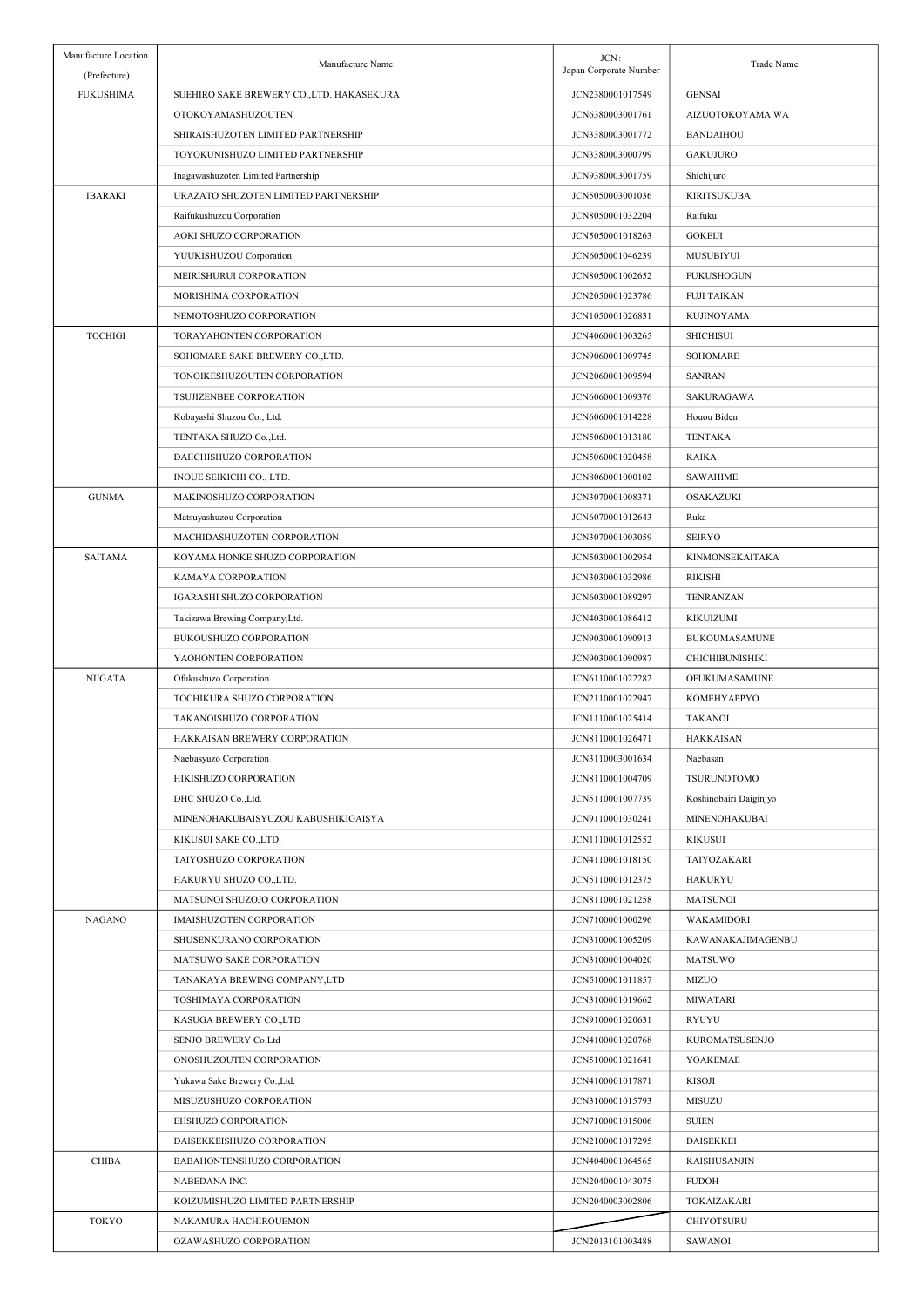| Manufacture Location<br>(Prefecture) | Manufacture Name                          | JCN:<br>Japan Corporate Number | Trade Name             |
|--------------------------------------|-------------------------------------------|--------------------------------|------------------------|
| <b>FUKUSHIMA</b>                     | SUEHIRO SAKE BREWERY CO., LTD. HAKASEKURA | JCN2380001017549               | <b>GENSAI</b>          |
|                                      | OTOKOYAMASHUZOUTEN                        | JCN6380003001761               | AIZUOTOKOYAMA WA       |
|                                      | SHIRAISHUZOTEN LIMITED PARTNERSHIP        | JCN3380003001772               | <b>BANDAIHOU</b>       |
|                                      | TOYOKUNISHUZO LIMITED PARTNERSHIP         | JCN3380003000799               | <b>GAKUJURO</b>        |
|                                      | Inagawashuzoten Limited Partnership       | JCN9380003001759               | Shichijuro             |
| <b>IBARAKI</b>                       | URAZATO SHUZOTEN LIMITED PARTNERSHIP      | JCN5050003001036               | <b>KIRITSUKUBA</b>     |
|                                      | Raifukushuzou Corporation                 | JCN8050001032204               | Raifuku                |
|                                      | AOKI SHUZO CORPORATION                    | JCN5050001018263               | <b>GOKEIJI</b>         |
|                                      | YUUKISHUZOU Corporation                   | JCN6050001046239               | MUSUBIYUI              |
|                                      | MEIRISHURUI CORPORATION                   | JCN8050001002652               | <b>FUKUSHOGUN</b>      |
|                                      | MORISHIMA CORPORATION                     | JCN2050001023786               | <b>FUJI TAIKAN</b>     |
|                                      | NEMOTOSHUZO CORPORATION                   | JCN1050001026831               | KUJINOYAMA             |
| <b>TOCHIGI</b>                       | TORAYAHONTEN CORPORATION                  | JCN4060001003265               | <b>SHICHISUI</b>       |
|                                      |                                           |                                | <b>SOHOMARE</b>        |
|                                      | SOHOMARE SAKE BREWERY CO.,LTD.            | JCN9060001009745               |                        |
|                                      | TONOIKESHUZOUTEN CORPORATION              | JCN2060001009594               | <b>SANRAN</b>          |
|                                      | <b>TSUJIZENBEE CORPORATION</b>            | JCN6060001009376               | <b>SAKURAGAWA</b>      |
|                                      | Kobayashi Shuzou Co., Ltd.                | JCN6060001014228               | Houou Biden            |
|                                      | TENTAKA SHUZO Co., Ltd.                   | JCN5060001013180               | <b>TENTAKA</b>         |
|                                      | DAIICHISHUZO CORPORATION                  | JCN5060001020458               | <b>KAIKA</b>           |
|                                      | INOUE SEIKICHI CO., LTD.                  | JCN8060001000102               | <b>SAWAHIME</b>        |
| <b>GUNMA</b>                         | MAKINOSHUZO CORPORATION                   | JCN3070001008371               | OSAKAZUKI              |
|                                      | Matsuyashuzou Corporation                 | JCN6070001012643               | Ruka                   |
|                                      | MACHIDASHUZOTEN CORPORATION               | JCN3070001003059               | <b>SEIRYO</b>          |
| <b>SAITAMA</b>                       | KOYAMA HONKE SHUZO CORPORATION            | JCN5030001002954               | KINMONSEKAITAKA        |
|                                      | KAMAYA CORPORATION                        | JCN3030001032986               | <b>RIKISHI</b>         |
|                                      | IGARASHI SHUZO CORPORATION                | JCN6030001089297               | TENRANZAN              |
|                                      | Takizawa Brewing Company, Ltd.            | JCN4030001086412               | KIKUIZUMI              |
|                                      | BUKOUSHUZO CORPORATION                    | JCN9030001090913               | <b>BUKOUMASAMUNE</b>   |
|                                      | YAOHONTEN CORPORATION                     | JCN9030001090987               | <b>CHICHIBUNISHIKI</b> |
| <b>NIIGATA</b>                       | Ofukushuzo Corporation                    | JCN6110001022282               | OFUKUMASAMUNE          |
|                                      | TOCHIKURA SHUZO CORPORATION               | JCN2110001022947               | KOMEHYAPPYO            |
|                                      | TAKANOISHUZO CORPORATION                  | JCN1110001025414               | <b>TAKANOI</b>         |
|                                      | HAKKAISAN BREWERY CORPORATION             | JCN8110001026471               | <b>HAKKAISAN</b>       |
|                                      | Naebasyuzo Corporation                    | JCN3110003001634               | Naebasan               |
|                                      | HIKISHUZO CORPORATION                     | JCN8110001004709               | <b>TSURUNOTOMO</b>     |
|                                      | DHC SHUZO Co., Ltd.                       | JCN5110001007739               | Koshinobairi Daiginjyo |
|                                      | MINENOHAKUBAISYUZOU KABUSHIKIGAISYA       | JCN9110001030241               | MINENOHAKUBAI          |
|                                      | KIKUSUI SAKE CO.,LTD.                     | JCN1110001012552               | <b>KIKUSUI</b>         |
|                                      | TAIYOSHUZO CORPORATION                    | JCN4110001018150               | TAIYOZAKARI            |
|                                      | HAKURYU SHUZO CO.,LTD.                    | JCN5110001012375               | HAKURYU                |
|                                      | MATSUNOI SHUZOJO CORPORATION              | JCN8110001021258               | <b>MATSUNOI</b>        |
| <b>NAGANO</b>                        | IMAISHUZOTEN CORPORATION                  | JCN7100001000296               | WAKAMIDORI             |
|                                      | SHUSENKURANO CORPORATION                  | JCN3100001005209               | KAWANAKAJIMAGENBU      |
|                                      | MATSUWO SAKE CORPORATION                  | JCN3100001004020               | <b>MATSUWO</b>         |
|                                      | TANAKAYA BREWING COMPANY, LTD             | JCN5100001011857               | <b>MIZUO</b>           |
|                                      | TOSHIMAYA CORPORATION                     | JCN3100001019662               | <b>MIWATARI</b>        |
|                                      | KASUGA BREWERY CO.,LTD                    | JCN9100001020631               | RYUYU                  |
|                                      | SENJO BREWERY Co.Ltd                      | JCN4100001020768               | KUROMATSUSENJO         |
|                                      | ONOSHUZOUTEN CORPORATION                  | JCN5100001021641               | YOAKEMAE               |
|                                      | Yukawa Sake Brewery Co., Ltd.             | JCN4100001017871               | KISOJI                 |
|                                      | MISUZUSHUZO CORPORATION                   | JCN3100001015793               | MISUZU                 |
|                                      | EHSHUZO CORPORATION                       | JCN7100001015006               | <b>SUIEN</b>           |
|                                      | DAISEKKEISHUZO CORPORATION                | JCN2100001017295               | <b>DAISEKKEI</b>       |
| <b>CHIBA</b>                         | BABAHONTENSHUZO CORPORATION               | JCN4040001064565               | KAISHUSANJIN           |
|                                      | NABEDANA INC.                             | JCN2040001043075               | <b>FUDOH</b>           |
|                                      | KOIZUMISHUZO LIMITED PARTNERSHIP          | JCN2040003002806               | TOKAIZAKARI            |
| TOKYO                                | NAKAMURA HACHIROUEMON                     |                                | CHIYOTSURU             |
|                                      | OZAWASHUZO CORPORATION                    | JCN2013101003488               | SAWANOI                |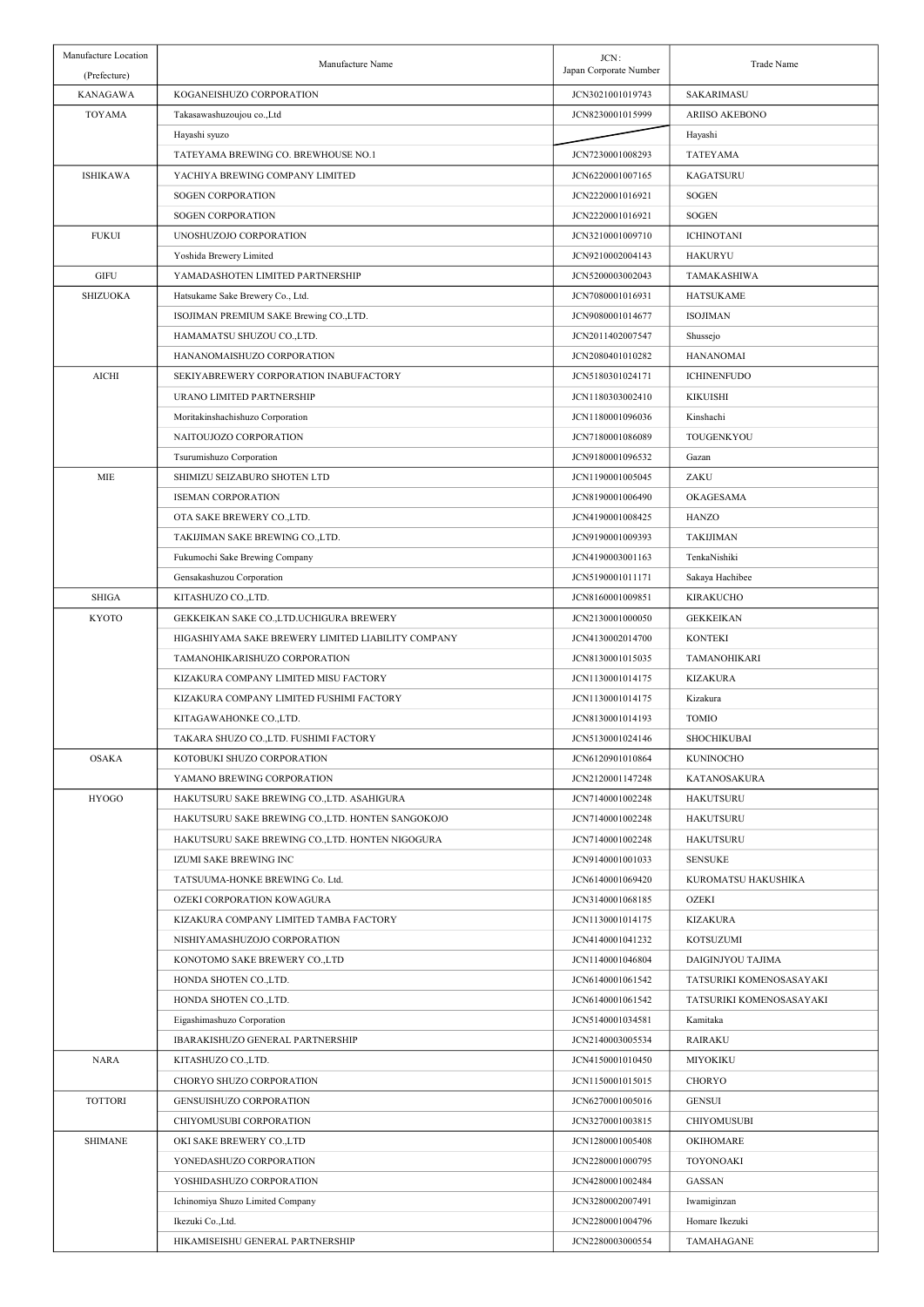| Manufacture Location<br>(Prefecture) | Manufacture Name                                   | JCN:<br>Japan Corporate Number | Trade Name                   |
|--------------------------------------|----------------------------------------------------|--------------------------------|------------------------------|
| <b>KANAGAWA</b>                      | KOGANEISHUZO CORPORATION                           | JCN3021001019743               | SAKARIMASU                   |
| <b>TOYAMA</b>                        | Takasawashuzoujou co.,Ltd                          | JCN8230001015999               | <b>ARIISO AKEBONO</b>        |
|                                      | Hayashi syuzo                                      |                                | Hayashi                      |
|                                      | TATEYAMA BREWING CO. BREWHOUSE NO.1                | JCN7230001008293               | <b>TATEY AMA</b>             |
| <b>ISHIKAWA</b>                      | YACHIYA BREWING COMPANY LIMITED                    | JCN6220001007165               | <b>KAGATSURU</b>             |
|                                      | SOGEN CORPORATION                                  | JCN2220001016921               | <b>SOGEN</b>                 |
|                                      | <b>SOGEN CORPORATION</b>                           | JCN2220001016921               | <b>SOGEN</b>                 |
| <b>FUKUI</b>                         | UNOSHUZOJO CORPORATION                             | JCN3210001009710               | <b>ICHINOTANI</b>            |
|                                      | Yoshida Brewery Limited                            | JCN9210002004143               | <b>HAKURYU</b>               |
| <b>GIFU</b>                          | YAMADASHOTEN LIMITED PARTNERSHIP                   | JCN5200003002043               | TAMAKASHIWA                  |
|                                      | Hatsukame Sake Brewery Co., Ltd.                   | JCN7080001016931               | <b>HATSUKAME</b>             |
| <b>SHIZUOKA</b>                      | ISOJIMAN PREMIUM SAKE Brewing CO.,LTD.             | JCN9080001014677               | <b>ISOJIMAN</b>              |
|                                      |                                                    |                                |                              |
|                                      | HAMAMATSU SHUZOU CO.,LTD.                          | JCN2011402007547               | Shussejo<br><b>HANANOMAI</b> |
|                                      | HANANOMAISHUZO CORPORATION                         | JCN2080401010282               |                              |
| <b>AICHI</b>                         | SEKIYABREWERY CORPORATION INABUFACTORY             | JCN5180301024171               | <b>ICHINENFUDO</b>           |
|                                      | URANO LIMITED PARTNERSHIP                          | JCN1180303002410               | <b>KIKUISHI</b>              |
|                                      | Moritakinshachishuzo Corporation                   | JCN1180001096036               | Kinshachi                    |
|                                      | NAITOUJOZO CORPORATION                             | JCN7180001086089               | TOUGENKYOU                   |
|                                      | Tsurumishuzo Corporation                           | JCN9180001096532               | Gazan                        |
| <b>MIE</b>                           | SHIMIZU SEIZABURO SHOTEN LTD                       | JCN1190001005045               | ZAKU                         |
|                                      | <b>ISEMAN CORPORATION</b>                          | JCN8190001006490               | OKAGESAMA                    |
|                                      | OTA SAKE BREWERY CO., LTD.                         | JCN4190001008425               | HANZO                        |
|                                      | TAKIJIMAN SAKE BREWING CO.,LTD.                    | JCN9190001009393               | <b>TAKIJIMAN</b>             |
|                                      | Fukumochi Sake Brewing Company                     | JCN4190003001163               | TenkaNishiki                 |
|                                      | Gensakashuzou Corporation                          | JCN5190001011171               | Sakaya Hachibee              |
| <b>SHIGA</b>                         | KITASHUZO CO., LTD.                                | JCN8160001009851               | <b>KIRAKUCHO</b>             |
| KYOTO                                | GEKKEIKAN SAKE CO., LTD. UCHIGURA BREWERY          | JCN2130001000050               | <b>GEKKEIKAN</b>             |
|                                      | HIGASHIYAMA SAKE BREWERY LIMITED LIABILITY COMPANY | JCN4130002014700               | <b>KONTEKI</b>               |
|                                      | TAMANOHIKARISHUZO CORPORATION                      | JCN8130001015035               | TAMANOHIKARI                 |
|                                      | KIZAKURA COMPANY LIMITED MISU FACTORY              | JCN1130001014175               | <b>KIZAKURA</b>              |
|                                      | KIZAKURA COMPANY LIMITED FUSHIMI FACTORY           | JCN1130001014175               | Kizakura                     |
|                                      | KITAGAWAHONKE CO.,LTD.                             | JCN8130001014193               | <b>TOMIO</b>                 |
|                                      | TAKARA SHUZO CO., LTD. FUSHIMI FACTORY             | JCN5130001024146               | SHOCHIKUBAI                  |
| <b>OSAKA</b>                         | KOTOBUKI SHUZO CORPORATION                         | JCN6120901010864               | KUNINOCHO                    |
|                                      | YAMANO BREWING CORPORATION                         | JCN2120001147248               | KATANOSAKURA                 |
| <b>HYOGO</b>                         | HAKUTSURU SAKE BREWING CO.,LTD. ASAHIGURA          | JCN7140001002248               | <b>HAKUTSURU</b>             |
|                                      | HAKUTSURU SAKE BREWING CO., LTD. HONTEN SANGOKOJO  | JCN7140001002248               | <b>HAKUTSURU</b>             |
|                                      | HAKUTSURU SAKE BREWING CO., LTD. HONTEN NIGOGURA   | JCN7140001002248               | <b>HAKUTSURU</b>             |
|                                      | IZUMI SAKE BREWING INC                             | JCN9140001001033               | <b>SENSUKE</b>               |
|                                      | TATSUUMA-HONKE BREWING Co. Ltd.                    | JCN6140001069420               | KUROMATSU HAKUSHIKA          |
|                                      | OZEKI CORPORATION KOWAGURA                         | JCN3140001068185               | OZEKI                        |
|                                      | KIZAKURA COMPANY LIMITED TAMBA FACTORY             | JCN1130001014175               | <b>KIZAKURA</b>              |
|                                      | NISHIYAMASHUZOJO CORPORATION                       | JCN4140001041232               | KOTSUZUMI                    |
|                                      | KONOTOMO SAKE BREWERY CO., LTD                     | JCN1140001046804               | DAIGINJYOU TAJIMA            |
|                                      | HONDA SHOTEN CO., LTD.                             | JCN6140001061542               | TATSURIKI KOMENOSASAYAKI     |
|                                      | HONDA SHOTEN CO., LTD.                             | JCN6140001061542               | TATSURIKI KOMENOSASAYAKI     |
|                                      | Eigashimashuzo Corporation                         | JCN5140001034581               | Kamitaka                     |
|                                      | IBARAKISHUZO GENERAL PARTNERSHIP                   | JCN2140003005534               | <b>RAIRAKU</b>               |
| <b>NARA</b>                          | KITASHUZO CO.,LTD.                                 | JCN4150001010450               | MIYOKIKU                     |
|                                      | CHORYO SHUZO CORPORATION                           | JCN1150001015015               | CHORYO                       |
| <b>TOTTORI</b>                       | GENSUISHUZO CORPORATION                            | JCN6270001005016               | <b>GENSUI</b>                |
|                                      | CHIYOMUSUBI CORPORATION                            | JCN3270001003815               | <b>CHIYOMUSUBI</b>           |
| <b>SHIMANE</b>                       | OKI SAKE BREWERY CO.,LTD                           | JCN1280001005408               | OKIHOMARE                    |
|                                      | YONEDASHUZO CORPORATION                            | JCN2280001000795               | TOYONOAKI                    |
|                                      | YOSHIDASHUZO CORPORATION                           | JCN4280001002484               | GASSAN                       |
|                                      | Ichinomiya Shuzo Limited Company                   | JCN3280002007491               | Iwamiginzan                  |
|                                      |                                                    |                                |                              |
|                                      | Ikezuki Co., Ltd.                                  | JCN2280001004796               | Homare Ikezuki<br>TAMAHAGANE |
|                                      | HIKAMISEISHU GENERAL PARTNERSHIP                   | JCN2280003000554               |                              |